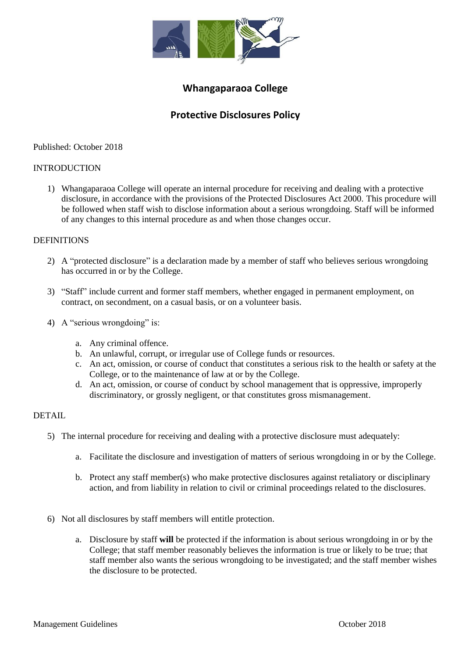

## **Whangaparaoa College**

# **Protective Disclosures Policy**

Published: October 2018

### INTRODUCTION

1) Whangaparaoa College will operate an internal procedure for receiving and dealing with a protective disclosure, in accordance with the provisions of the Protected Disclosures Act 2000. This procedure will be followed when staff wish to disclose information about a serious wrongdoing. Staff will be informed of any changes to this internal procedure as and when those changes occur.

### DEFINITIONS

- 2) A "protected disclosure" is a declaration made by a member of staff who believes serious wrongdoing has occurred in or by the College.
- 3) "Staff" include current and former staff members, whether engaged in permanent employment, on contract, on secondment, on a casual basis, or on a volunteer basis.
- 4) A "serious wrongdoing" is:
	- a. Any criminal offence.
	- b. An unlawful, corrupt, or irregular use of College funds or resources.
	- c. An act, omission, or course of conduct that constitutes a serious risk to the health or safety at the College, or to the maintenance of law at or by the College.
	- d. An act, omission, or course of conduct by school management that is oppressive, improperly discriminatory, or grossly negligent, or that constitutes gross mismanagement.

#### DETAIL.

- 5) The internal procedure for receiving and dealing with a protective disclosure must adequately:
	- a. Facilitate the disclosure and investigation of matters of serious wrongdoing in or by the College.
	- b. Protect any staff member(s) who make protective disclosures against retaliatory or disciplinary action, and from liability in relation to civil or criminal proceedings related to the disclosures.
- 6) Not all disclosures by staff members will entitle protection.
	- a. Disclosure by staff **will** be protected if the information is about serious wrongdoing in or by the College; that staff member reasonably believes the information is true or likely to be true; that staff member also wants the serious wrongdoing to be investigated; and the staff member wishes the disclosure to be protected.